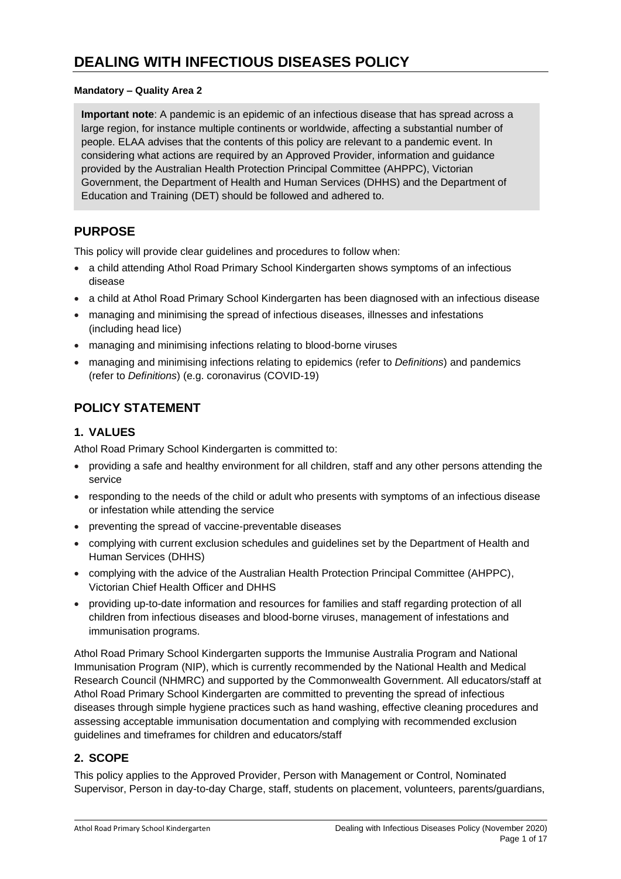#### **Mandatory – Quality Area 2**

**Important note**: A pandemic is an epidemic of an infectious disease that has spread across a large region, for instance multiple continents or worldwide, affecting a substantial number of people. ELAA advises that the contents of this policy are relevant to a pandemic event. In considering what actions are required by an Approved Provider, information and guidance provided by the Australian Health Protection Principal Committee (AHPPC), Victorian Government, the Department of Health and Human Services (DHHS) and the Department of Education and Training (DET) should be followed and adhered to.

## **PURPOSE**

This policy will provide clear guidelines and procedures to follow when:

- a child attending Athol Road Primary School Kindergarten shows symptoms of an infectious disease
- a child at Athol Road Primary School Kindergarten has been diagnosed with an infectious disease
- managing and minimising the spread of infectious diseases, illnesses and infestations (including head lice)
- managing and minimising infections relating to blood-borne viruses
- managing and minimising infections relating to epidemics (refer to *Definitions*) and pandemics (refer to *Definitions*) (e.g. coronavirus (COVID-19)

# **POLICY STATEMENT**

### **1. VALUES**

Athol Road Primary School Kindergarten is committed to:

- providing a safe and healthy environment for all children, staff and any other persons attending the service
- responding to the needs of the child or adult who presents with symptoms of an infectious disease or infestation while attending the service
- preventing the spread of vaccine-preventable diseases
- complying with current exclusion schedules and guidelines set by the Department of Health and Human Services (DHHS)
- complying with the advice of the Australian Health Protection Principal Committee (AHPPC), Victorian Chief Health Officer and DHHS
- providing up-to-date information and resources for families and staff regarding protection of all children from infectious diseases and blood-borne viruses, management of infestations and immunisation programs.

Athol Road Primary School Kindergarten supports the Immunise Australia Program and National Immunisation Program (NIP), which is currently recommended by the National Health and Medical Research Council (NHMRC) and supported by the Commonwealth Government. All educators/staff at Athol Road Primary School Kindergarten are committed to preventing the spread of infectious diseases through simple hygiene practices such as hand washing, effective cleaning procedures and assessing acceptable immunisation documentation and complying with recommended exclusion guidelines and timeframes for children and educators/staff

### **2. SCOPE**

This policy applies to the Approved Provider, Person with Management or Control, Nominated Supervisor, Person in day-to-day Charge, staff, students on placement, volunteers, parents/guardians,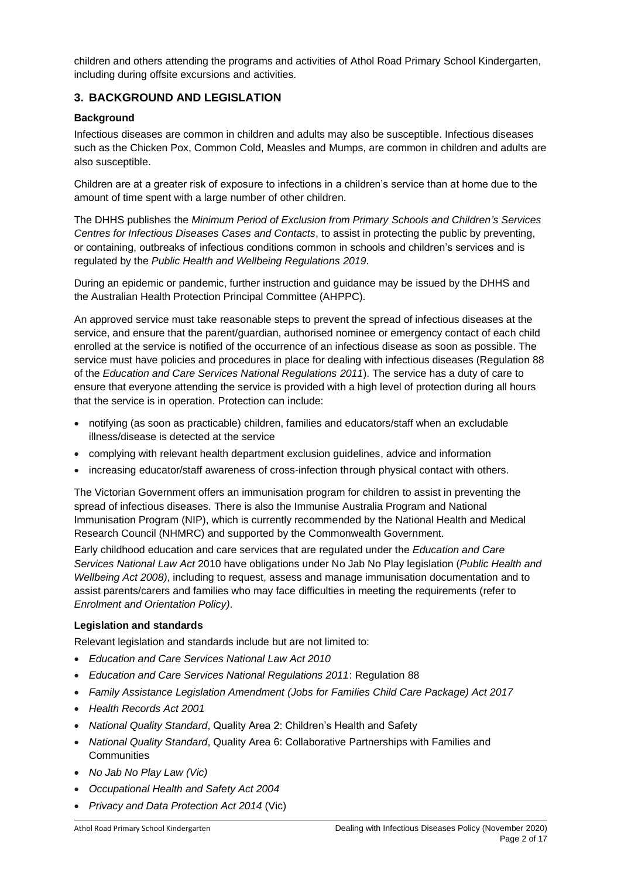children and others attending the programs and activities of Athol Road Primary School Kindergarten, including during offsite excursions and activities.

### **3. BACKGROUND AND LEGISLATION**

#### **Background**

Infectious diseases are common in children and adults may also be susceptible. Infectious diseases such as the Chicken Pox, Common Cold, Measles and Mumps, are common in children and adults are also susceptible.

Children are at a greater risk of exposure to infections in a children's service than at home due to the amount of time spent with a large number of other children.

The DHHS publishes the *Minimum Period of Exclusion from Primary Schools and Children's Services Centres for Infectious Diseases Cases and Contacts*, to assist in protecting the public by preventing, or containing, outbreaks of infectious conditions common in schools and children's services and is regulated by the *Public Health and Wellbeing Regulations 2019*.

During an epidemic or pandemic, further instruction and guidance may be issued by the DHHS and the Australian Health Protection Principal Committee (AHPPC).

An approved service must take reasonable steps to prevent the spread of infectious diseases at the service, and ensure that the parent/guardian, authorised nominee or emergency contact of each child enrolled at the service is notified of the occurrence of an infectious disease as soon as possible. The service must have policies and procedures in place for dealing with infectious diseases (Regulation 88 of the *Education and Care Services National Regulations 2011*). The service has a duty of care to ensure that everyone attending the service is provided with a high level of protection during all hours that the service is in operation. Protection can include:

- notifying (as soon as practicable) children, families and educators/staff when an excludable illness/disease is detected at the service
- complying with relevant health department exclusion guidelines, advice and information
- increasing educator/staff awareness of cross-infection through physical contact with others.

The Victorian Government offers an immunisation program for children to assist in preventing the spread of infectious diseases. There is also the Immunise Australia Program and National Immunisation Program (NIP), which is currently recommended by the National Health and Medical Research Council (NHMRC) and supported by the Commonwealth Government.

Early childhood education and care services that are regulated under the *Education and Care Services National Law Act* 2010 have obligations under No Jab No Play legislation (*Public Health and Wellbeing Act 2008)*, including to request, assess and manage immunisation documentation and to assist parents/carers and families who may face difficulties in meeting the requirements (refer to *Enrolment and Orientation Policy)*.

#### **Legislation and standards**

Relevant legislation and standards include but are not limited to:

- *Education and Care Services National Law Act 2010*
- *Education and Care Services National Regulations 2011*: Regulation 88
- *Family Assistance Legislation Amendment (Jobs for Families Child Care Package) Act 2017*
- *Health Records Act 2001*
- *National Quality Standard*, Quality Area 2: Children's Health and Safety
- *National Quality Standard*, Quality Area 6: Collaborative Partnerships with Families and **Communities**
- *No Jab No Play Law (Vic)*
- *Occupational Health and Safety Act 2004*
- *Privacy and Data Protection Act 2014* (Vic)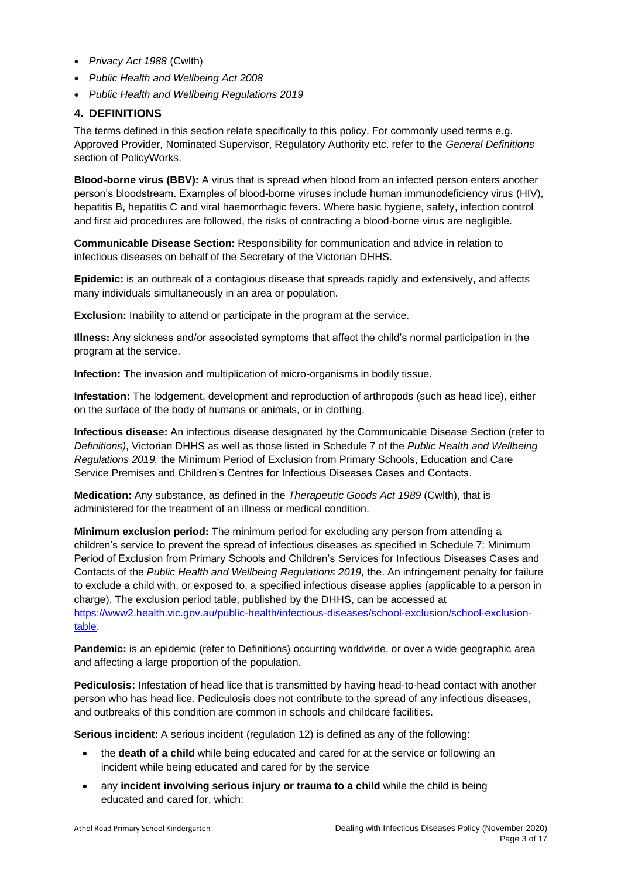- *Privacy Act 1988* (Cwlth)
- *Public Health and Wellbeing Act 2008*
- *Public Health and Wellbeing Regulations 2019*

### **4. DEFINITIONS**

The terms defined in this section relate specifically to this policy. For commonly used terms e.g. Approved Provider, Nominated Supervisor, Regulatory Authority etc. refer to the *General Definitions* section of PolicyWorks.

**Blood-borne virus (BBV):** A virus that is spread when blood from an infected person enters another person's bloodstream. Examples of blood-borne viruses include human immunodeficiency virus [\(HIV\)](http://en.wikipedia.org/wiki/HIV), [hepatitis B,](http://en.wikipedia.org/wiki/Hepatitis_B) [hepatitis C](http://en.wikipedia.org/wiki/Hepatitis_C) and [viral haemorrhagic fevers.](http://en.wikipedia.org/wiki/Viral_hemorrhagic_fever) Where basic hygiene, safety, infection control and first aid procedures are followed, the risks of contracting a blood-borne virus are negligible.

**Communicable Disease Section:** Responsibility for communication and advice in relation to infectious diseases on behalf of the Secretary of the Victorian DHHS.

**Epidemic:** is an outbreak of a contagious disease that spreads rapidly and extensively, and affects many individuals simultaneously in an area or population.

**Exclusion:** Inability to attend or participate in the program at the service.

**Illness:** Any sickness and/or associated symptoms that affect the child's normal participation in the program at the service.

**Infection:** The invasion and multiplication of micro-organisms in bodily tissue.

**Infestation:** The lodgement, development and reproduction of arthropods (such as head lice), either on the surface of the body of humans or animals, or in clothing.

**Infectious disease:** An infectious disease designated by the Communicable Disease Section (refer to *Definitions)*, Victorian DHHS as well as those listed in Schedule 7 of the *Public Health and Wellbeing Regulations 2019,* the Minimum Period of Exclusion from Primary Schools, Education and Care Service Premises and Children's Centres for Infectious Diseases Cases and Contacts.

**Medication:** Any substance, as defined in the *Therapeutic Goods Act 1989* (Cwlth), that is administered for the treatment of an illness or medical condition.

**Minimum exclusion period:** The minimum period for excluding any person from attending a children's service to prevent the spread of infectious diseases as specified in Schedule 7: Minimum Period of Exclusion from Primary Schools and Children's Services for Infectious Diseases Cases and Contacts of the *Public Health and Wellbeing Regulations 2019,* the. An infringement penalty for failure to exclude a child with, or exposed to, a specified infectious disease applies (applicable to a person in charge). The exclusion period table, published by the DHHS, can be accessed at [https://www2.health.vic.gov.au/public-health/infectious-diseases/school-exclusion/school-exclusion](https://www2.health.vic.gov.au/public-health/infectious-diseases/school-exclusion/school-exclusion-table)[table.](https://www2.health.vic.gov.au/public-health/infectious-diseases/school-exclusion/school-exclusion-table)

**Pandemic:** is an epidemic (refer to Definitions) occurring worldwide, or over a wide geographic area and affecting a large proportion of the population.

**Pediculosis:** Infestation of head lice that is transmitted by having head-to-head contact with another person who has head lice. Pediculosis does not contribute to the spread of any infectious diseases, and outbreaks of this condition are common in schools and childcare facilities.

**Serious incident:** A serious incident (regulation 12) is defined as any of the following:

- the **death of a child** while being educated and cared for at the service or following an incident while being educated and cared for by the service
- any **incident involving serious injury or trauma to a child** while the child is being educated and cared for, which: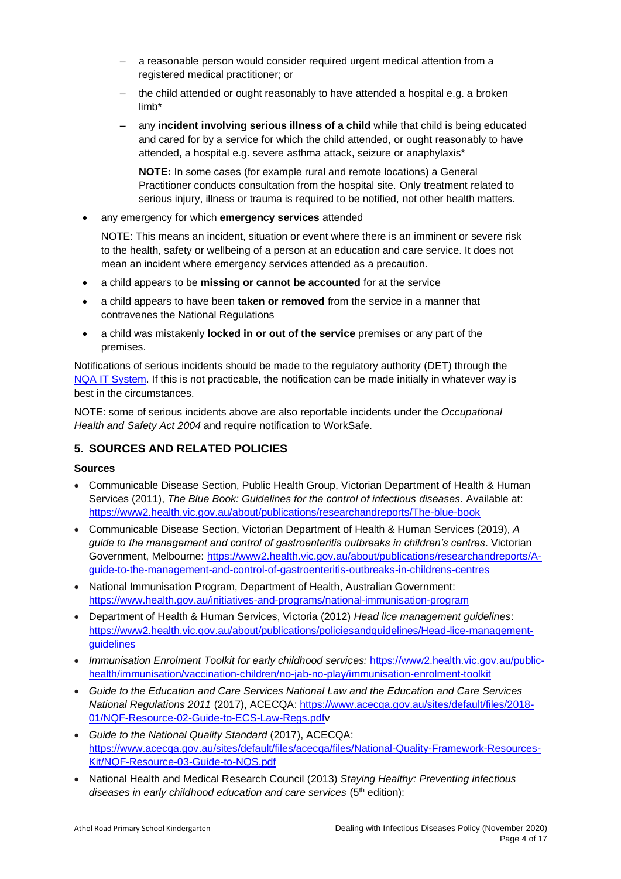- a reasonable person would consider required urgent medical attention from a registered medical practitioner; or
- the child attended or ought reasonably to have attended a hospital e.g. a broken limb\*
- any **incident involving serious illness of a child** while that child is being educated and cared for by a service for which the child attended, or ought reasonably to have attended, a hospital e.g. severe asthma attack, seizure or anaphylaxis\*

**NOTE:** In some cases (for example rural and remote locations) a General Practitioner conducts consultation from the hospital site. Only treatment related to serious injury, illness or trauma is required to be notified, not other health matters.

• any emergency for which **emergency services** attended

NOTE: This means an incident, situation or event where there is an imminent or severe risk to the health, safety or wellbeing of a person at an education and care service. It does not mean an incident where emergency services attended as a precaution.

- a child appears to be **missing or cannot be accounted** for at the service
- a child appears to have been **taken or removed** from the service in a manner that contravenes the National Regulations
- a child was mistakenly **locked in or out of the service** premises or any part of the premises.

Notifications of serious incidents should be made to the regulatory authority (DET) through the [NQA IT System.](https://www.acecqa.gov.au/resources/national-quality-agenda-it-system) If this is not practicable, the notification can be made initially in whatever way is best in the circumstances.

NOTE: some of serious incidents above are also reportable incidents under the *Occupational Health and Safety Act 2004* and require notification to WorkSafe.

### **5. SOURCES AND RELATED POLICIES**

#### **Sources**

- Communicable Disease Section, Public Health Group, Victorian Department of Health & Human Services (2011), *The Blue Book: Guidelines for the control of infectious diseases.* Available at: <https://www2.health.vic.gov.au/about/publications/researchandreports/The-blue-book>
- Communicable Disease Section, Victorian Department of Health & Human Services (2019), *A guide to the management and control of gastroenteritis outbreaks in children's centres*. Victorian Government, Melbourne: [https://www2.health.vic.gov.au/about/publications/researchandreports/A](https://www2.health.vic.gov.au/about/publications/researchandreports/A-guide-to-the-management-and-control-of-gastroenteritis-outbreaks-in-childrens-centres)[guide-to-the-management-and-control-of-gastroenteritis-outbreaks-in-childrens-centres](https://www2.health.vic.gov.au/about/publications/researchandreports/A-guide-to-the-management-and-control-of-gastroenteritis-outbreaks-in-childrens-centres)
- National Immunisation Program, Department of Health, Australian Government: <https://www.health.gov.au/initiatives-and-programs/national-immunisation-program>
- Department of Health & Human Services, Victoria (2012) *Head lice management guidelines*: [https://www2.health.vic.gov.au/about/publications/policiesandguidelines/Head-lice-management](https://www2.health.vic.gov.au/about/publications/policiesandguidelines/Head-lice-management-guidelines)[guidelines](https://www2.health.vic.gov.au/about/publications/policiesandguidelines/Head-lice-management-guidelines)
- *Immunisation Enrolment Toolkit for early childhood services:* [https://www2.health.vic.gov.au/public](https://www2.health.vic.gov.au/public-health/immunisation/vaccination-children/no-jab-no-play/immunisation-enrolment-toolkit)[health/immunisation/vaccination-children/no-jab-no-play/immunisation-enrolment-toolkit](https://www2.health.vic.gov.au/public-health/immunisation/vaccination-children/no-jab-no-play/immunisation-enrolment-toolkit)
- *Guide to the Education and Care Services National Law and the Education and Care Services National Regulations 2011* (2017), ACECQA: [https://www.acecqa.gov.au/sites/default/files/2018-](https://www.acecqa.gov.au/sites/default/files/2018-01/NQF-Resource-02-Guide-to-ECS-Law-Regs.pdf) [01/NQF-Resource-02-Guide-to-ECS-Law-Regs.pdfv](https://www.acecqa.gov.au/sites/default/files/2018-01/NQF-Resource-02-Guide-to-ECS-Law-Regs.pdf)
- *Guide to the National Quality Standard* (2017), ACECQA: [https://www.acecqa.gov.au/sites/default/files/acecqa/files/National-Quality-Framework-Resources-](https://www.acecqa.gov.au/sites/default/files/acecqa/files/National-Quality-Framework-Resources-Kit/NQF-Resource-03-Guide-to-NQS.pdf)[Kit/NQF-Resource-03-Guide-to-NQS.pdf](https://www.acecqa.gov.au/sites/default/files/acecqa/files/National-Quality-Framework-Resources-Kit/NQF-Resource-03-Guide-to-NQS.pdf)
- National Health and Medical Research Council (2013) *Staying Healthy: Preventing infectious*  diseases in early childhood education and care services (5<sup>th</sup> edition):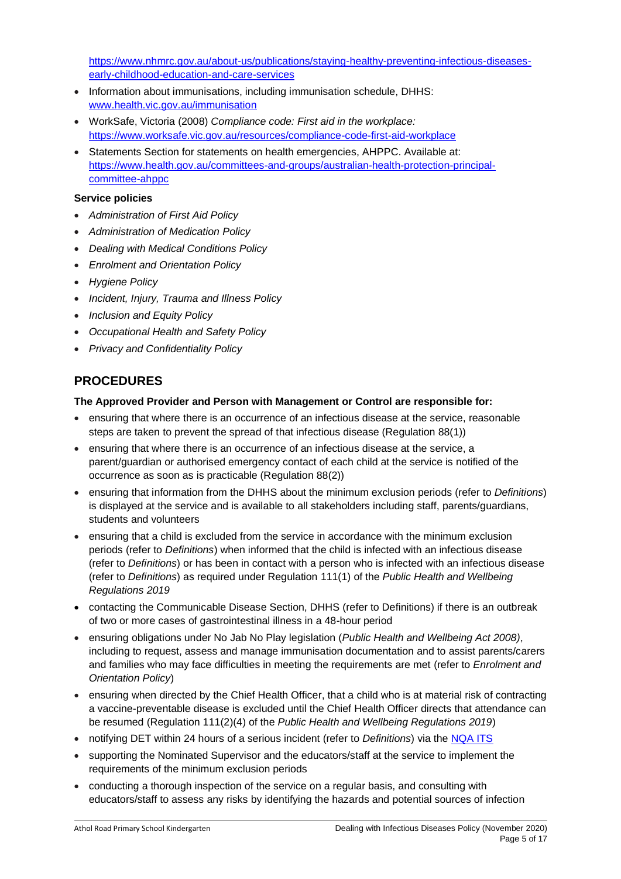[https://www.nhmrc.gov.au/about-us/publications/staying-healthy-preventing-infectious-diseases](https://www.nhmrc.gov.au/about-us/publications/staying-healthy-preventing-infectious-diseases-early-childhood-education-and-care-services)[early-childhood-education-and-care-services](https://www.nhmrc.gov.au/about-us/publications/staying-healthy-preventing-infectious-diseases-early-childhood-education-and-care-services)

- Information about immunisations, including immunisation schedule, DHHS: [www.health.vic.gov.au/immunisation](http://www.health.vic.gov.au/immunisation)
- WorkSafe, Victoria (2008) *Compliance code: First aid in the workplace:*  <https://www.worksafe.vic.gov.au/resources/compliance-code-first-aid-workplace>
- Statements Section for statements on health emergencies, AHPPC. Available at: [https://www.health.gov.au/committees-and-groups/australian-health-protection-principal](https://www.health.gov.au/committees-and-groups/australian-health-protection-principal-committee-ahppc)[committee-ahppc](https://www.health.gov.au/committees-and-groups/australian-health-protection-principal-committee-ahppc)

#### **Service policies**

- *Administration of First Aid Policy*
- *Administration of Medication Policy*
- *Dealing with Medical Conditions Policy*
- *Enrolment and Orientation Policy*
- *Hygiene Policy*
- *Incident, Injury, Trauma and Illness Policy*
- *Inclusion and Equity Policy*
- *Occupational Health and Safety Policy*
- *Privacy and Confidentiality Policy*

## **PROCEDURES**

### **The Approved Provider and Person with Management or Control are responsible for:**

- ensuring that where there is an occurrence of an infectious disease at the service, reasonable steps are taken to prevent the spread of that infectious disease (Regulation 88(1))
- ensuring that where there is an occurrence of an infectious disease at the service, a parent/guardian or authorised emergency contact of each child at the service is notified of the occurrence as soon as is practicable (Regulation 88(2))
- ensuring that information from the DHHS about the minimum exclusion periods (refer to *Definitions*) is displayed at the service and is available to all stakeholders including staff, parents/guardians, students and volunteers
- ensuring that a child is excluded from the service in accordance with the minimum exclusion periods (refer to *Definitions*) when informed that the child is infected with an infectious disease (refer to *Definitions*) or has been in contact with a person who is infected with an infectious disease (refer to *Definitions*) as required under Regulation 111(1) of the *Public Health and Wellbeing Regulations 2019*
- contacting the Communicable Disease Section, DHHS (refer to Definitions) if there is an outbreak of two or more cases of gastrointestinal illness in a 48-hour period
- ensuring obligations under No Jab No Play legislation (*Public Health and Wellbeing Act 2008)*, including to request, assess and manage immunisation documentation and to assist parents/carers and families who may face difficulties in meeting the requirements are met (refer to *Enrolment and Orientation Policy*)
- ensuring when directed by the Chief Health Officer, that a child who is at material risk of contracting a vaccine-preventable disease is excluded until the Chief Health Officer directs that attendance can be resumed (Regulation 111(2)(4) of the *Public Health and Wellbeing Regulations 2019*)
- notifying DET within 24 hours of a serious incident (refer to *Definitions*) via the [NQA ITS](https://www.acecqa.gov.au/resources/national-quality-agenda-it-system)
- supporting the Nominated Supervisor and the educators/staff at the service to implement the requirements of the minimum exclusion periods
- conducting a thorough inspection of the service on a regular basis, and consulting with educators/staff to assess any risks by identifying the hazards and potential sources of infection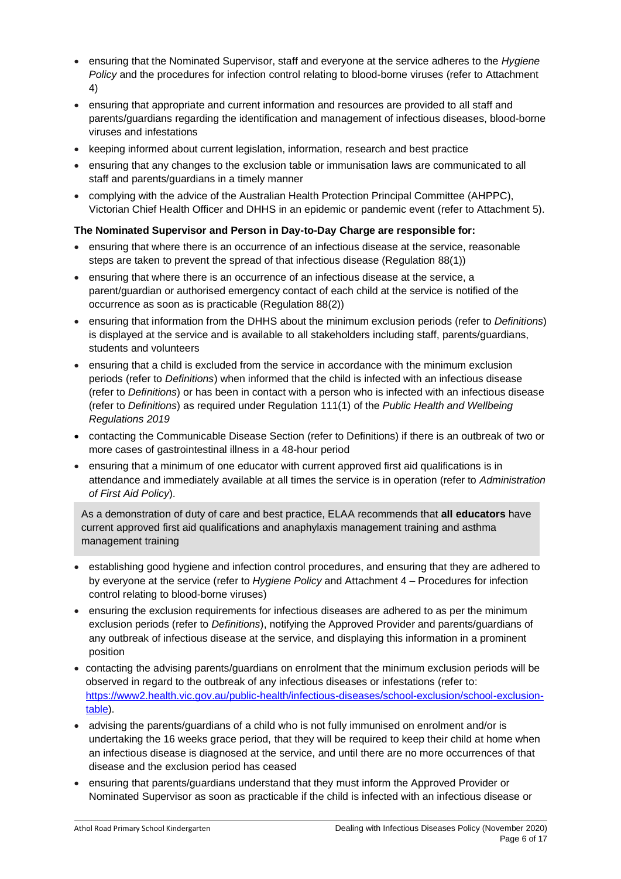- ensuring that the Nominated Supervisor, staff and everyone at the service adheres to the *Hygiene Policy* and the procedures for infection control relating to blood-borne viruses (refer to Attachment 4)
- ensuring that appropriate and current information and resources are provided to all staff and parents/guardians regarding the identification and management of infectious diseases, blood-borne viruses and infestations
- keeping informed about current legislation, information, research and best practice
- ensuring that any changes to the exclusion table or immunisation laws are communicated to all staff and parents/guardians in a timely manner
- complying with the advice of the Australian Health Protection Principal Committee (AHPPC), Victorian Chief Health Officer and DHHS in an epidemic or pandemic event (refer to Attachment 5).

### **The Nominated Supervisor and Person in Day-to-Day Charge are responsible for:**

- ensuring that where there is an occurrence of an infectious disease at the service, reasonable steps are taken to prevent the spread of that infectious disease (Regulation 88(1))
- ensuring that where there is an occurrence of an infectious disease at the service, a parent/guardian or authorised emergency contact of each child at the service is notified of the occurrence as soon as is practicable (Regulation 88(2))
- ensuring that information from the DHHS about the minimum exclusion periods (refer to *Definitions*) is displayed at the service and is available to all stakeholders including staff, parents/guardians, students and volunteers
- ensuring that a child is excluded from the service in accordance with the minimum exclusion periods (refer to *Definitions*) when informed that the child is infected with an infectious disease (refer to *Definitions*) or has been in contact with a person who is infected with an infectious disease (refer to *Definitions*) as required under Regulation 111(1) of the *Public Health and Wellbeing Regulations 2019*
- contacting the Communicable Disease Section (refer to Definitions) if there is an outbreak of two or more cases of gastrointestinal illness in a 48-hour period
- ensuring that a minimum of one educator with current approved first aid qualifications is in attendance and immediately available at all times the service is in operation (refer to *Administration of First Aid Policy*).

As a demonstration of duty of care and best practice, ELAA recommends that **all educators** have current approved first aid qualifications and anaphylaxis management training and asthma management training

- establishing good hygiene and infection control procedures, and ensuring that they are adhered to by everyone at the service (refer to *Hygiene Policy* and Attachment 4 – Procedures for infection control relating to blood-borne viruses)
- ensuring the exclusion requirements for infectious diseases are adhered to as per the minimum exclusion periods (refer to *Definitions*), notifying the Approved Provider and parents/guardians of any outbreak of infectious disease at the service, and displaying this information in a prominent position
- contacting the advising parents/guardians on enrolment that the minimum exclusion periods will be observed in regard to the outbreak of any infectious diseases or infestations (refer to: [https://www2.health.vic.gov.au/public-health/infectious-diseases/school-exclusion/school-exclusion](https://www2.health.vic.gov.au/public-health/infectious-diseases/school-exclusion/school-exclusion-table)[table\)](https://www2.health.vic.gov.au/public-health/infectious-diseases/school-exclusion/school-exclusion-table).
- advising the parents/guardians of a child who is not fully immunised on enrolment and/or is undertaking the 16 weeks grace period, that they will be required to keep their child at home when an infectious disease is diagnosed at the service, and until there are no more occurrences of that disease and the exclusion period has ceased
- ensuring that parents/guardians understand that they must inform the Approved Provider or Nominated Supervisor as soon as practicable if the child is infected with an infectious disease or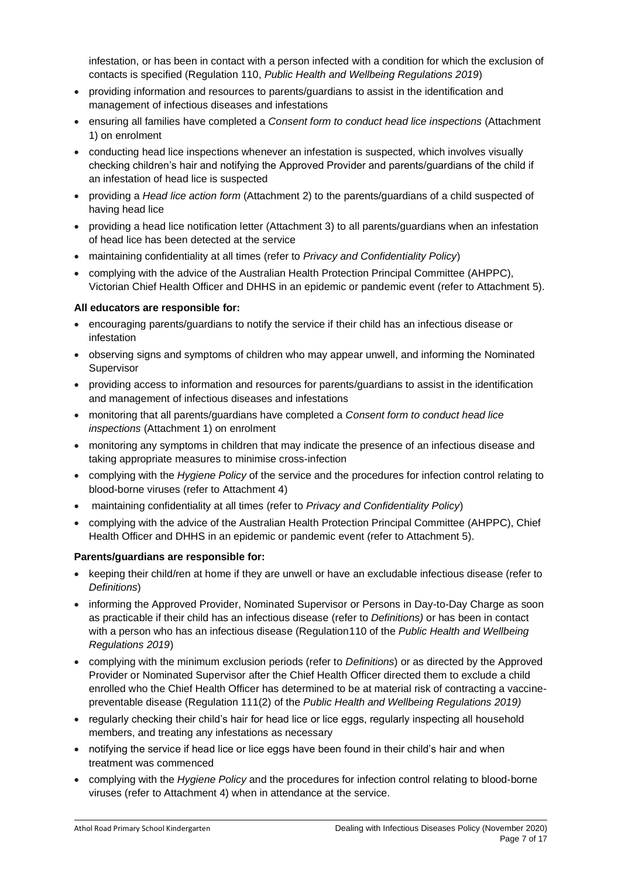infestation, or has been in contact with a person infected with a condition for which the exclusion of contacts is specified (Regulation 110, *Public Health and Wellbeing Regulations 2019*)

- providing information and resources to parents/guardians to assist in the identification and management of infectious diseases and infestations
- ensuring all families have completed a *Consent form to conduct head lice inspections* (Attachment 1) on enrolment
- conducting head lice inspections whenever an infestation is suspected, which involves visually checking children's hair and notifying the Approved Provider and parents/guardians of the child if an infestation of head lice is suspected
- providing a *Head lice action form* (Attachment 2) to the parents/guardians of a child suspected of having head lice
- providing a head lice notification letter (Attachment 3) to all parents/guardians when an infestation of head lice has been detected at the service
- maintaining confidentiality at all times (refer to *Privacy and Confidentiality Policy*)
- complying with the advice of the Australian Health Protection Principal Committee (AHPPC), Victorian Chief Health Officer and DHHS in an epidemic or pandemic event (refer to Attachment 5).

#### **All educators are responsible for:**

- encouraging parents/guardians to notify the service if their child has an infectious disease or infestation
- observing signs and symptoms of children who may appear unwell, and informing the Nominated **Supervisor**
- providing access to information and resources for parents/guardians to assist in the identification and management of infectious diseases and infestations
- monitoring that all parents/guardians have completed a *Consent form to conduct head lice inspections* (Attachment 1) on enrolment
- monitoring any symptoms in children that may indicate the presence of an infectious disease and taking appropriate measures to minimise cross-infection
- complying with the *Hygiene Policy* of the service and the procedures for infection control relating to blood-borne viruses (refer to Attachment 4)
- maintaining confidentiality at all times (refer to *Privacy and Confidentiality Policy*)
- complying with the advice of the Australian Health Protection Principal Committee (AHPPC), Chief Health Officer and DHHS in an epidemic or pandemic event (refer to Attachment 5).

#### **Parents/guardians are responsible for:**

- keeping their child/ren at home if they are unwell or have an excludable infectious disease (refer to *Definitions*)
- informing the Approved Provider, Nominated Supervisor or Persons in Day-to-Day Charge as soon as practicable if their child has an infectious disease (refer to *Definitions)* or has been in contact with a person who has an infectious disease (Regulation110 of the *Public Health and Wellbeing Regulations 2019*)
- complying with the minimum exclusion periods (refer to *Definitions*) or as directed by the Approved Provider or Nominated Supervisor after the Chief Health Officer directed them to exclude a child enrolled who the Chief Health Officer has determined to be at material risk of contracting a vaccinepreventable disease (Regulation 111(2) of the *Public Health and Wellbeing Regulations 2019)*
- regularly checking their child's hair for head lice or lice eggs, regularly inspecting all household members, and treating any infestations as necessary
- notifying the service if head lice or lice eggs have been found in their child's hair and when treatment was commenced
- complying with the *Hygiene Policy* and the procedures for infection control relating to blood-borne viruses (refer to Attachment 4) when in attendance at the service.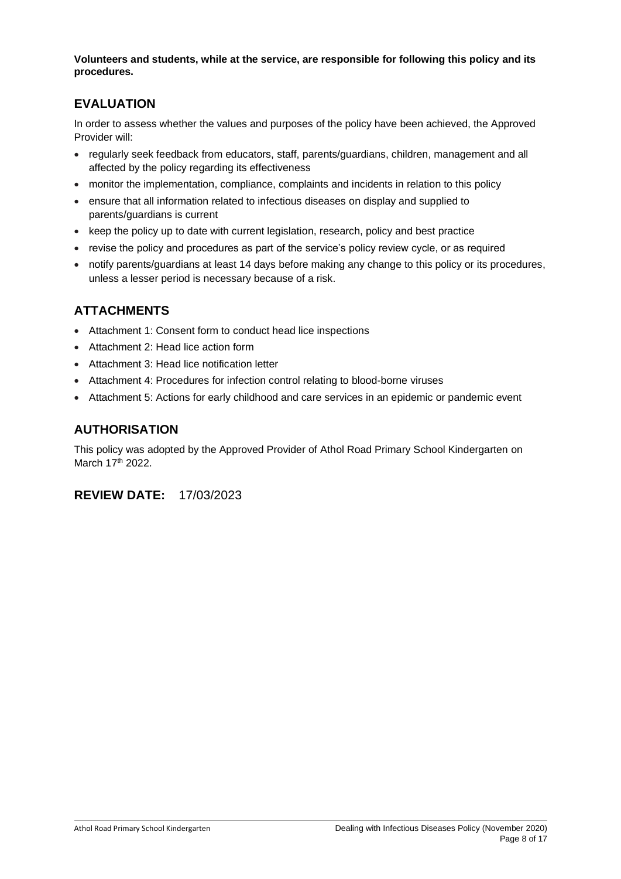**Volunteers and students, while at the service, are responsible for following this policy and its procedures.**

## **EVALUATION**

In order to assess whether the values and purposes of the policy have been achieved, the Approved Provider will:

- regularly seek feedback from educators, staff, parents/guardians, children, management and all affected by the policy regarding its effectiveness
- monitor the implementation, compliance, complaints and incidents in relation to this policy
- ensure that all information related to infectious diseases on display and supplied to parents/guardians is current
- keep the policy up to date with current legislation, research, policy and best practice
- revise the policy and procedures as part of the service's policy review cycle, or as required
- notify parents/guardians at least 14 days before making any change to this policy or its procedures, unless a lesser period is necessary because of a risk.

## **ATTACHMENTS**

- Attachment 1: Consent form to conduct head lice inspections
- Attachment 2: Head lice action form
- Attachment 3: Head lice notification letter
- Attachment 4: Procedures for infection control relating to blood-borne viruses
- Attachment 5: Actions for early childhood and care services in an epidemic or pandemic event

## **AUTHORISATION**

This policy was adopted by the Approved Provider of Athol Road Primary School Kindergarten on March 17<sup>th</sup> 2022.

### **REVIEW DATE:** 17/03/2023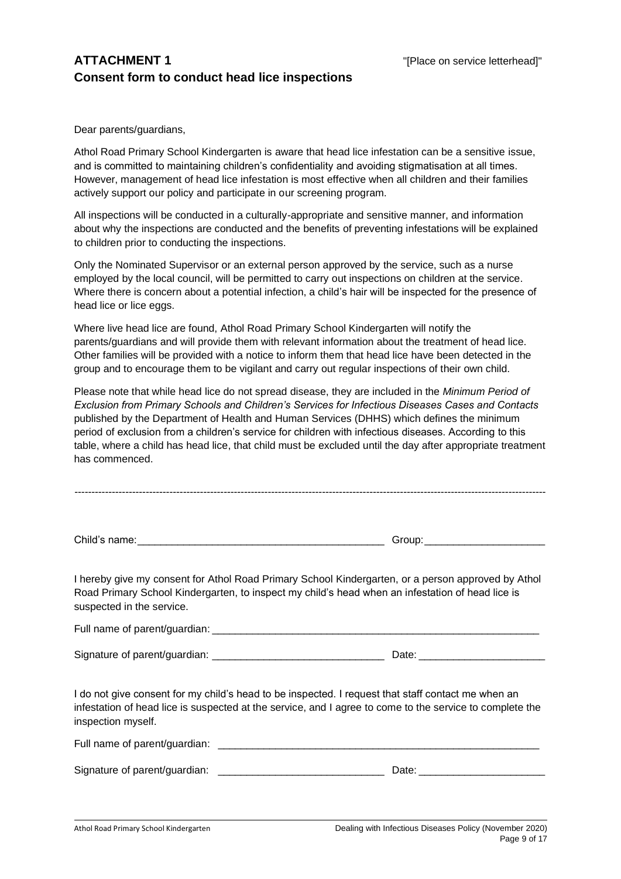## **ATTACHMENT 1** THE STRIP SERVICE SERVICE SERVICE SERVICE INTERFERING THE STRIP SERVICE IN THE STRIP SERVICE SERVICE SERVICE SERVICE SERVICE SERVICE SERVICE SERVICE SERVICE SERVICE SERVICE SERVICE SERVICE SERVICE SERVICE SE **Consent form to conduct head lice inspections**

Dear parents/guardians,

Athol Road Primary School Kindergarten is aware that head lice infestation can be a sensitive issue, and is committed to maintaining children's confidentiality and avoiding stigmatisation at all times. However, management of head lice infestation is most effective when all children and their families actively support our policy and participate in our screening program.

All inspections will be conducted in a culturally-appropriate and sensitive manner, and information about why the inspections are conducted and the benefits of preventing infestations will be explained to children prior to conducting the inspections.

Only the Nominated Supervisor or an external person approved by the service, such as a nurse employed by the local council, will be permitted to carry out inspections on children at the service. Where there is concern about a potential infection, a child's hair will be inspected for the presence of head lice or lice eggs.

Where live head lice are found, Athol Road Primary School Kindergarten will notify the parents/guardians and will provide them with relevant information about the treatment of head lice. Other families will be provided with a notice to inform them that head lice have been detected in the group and to encourage them to be vigilant and carry out regular inspections of their own child.

Please note that while head lice do not spread disease, they are included in the *Minimum Period of Exclusion from Primary Schools and Children's Services for Infectious Diseases Cases and Contacts* published by the Department of Health and Human Services (DHHS) which defines the minimum period of exclusion from a children's service for children with infectious diseases. According to this table, where a child has head lice, that child must be excluded until the day after appropriate treatment has commenced.

| Child<br>name. |  | 20011 |
|----------------|--|-------|
|----------------|--|-------|

-------------------------------------------------------------------------------------------------------------------------------------------

I hereby give my consent for Athol Road Primary School Kindergarten, or a person approved by Athol Road Primary School Kindergarten, to inspect my child's head when an infestation of head lice is suspected in the service.

Full name of parent/guardian: \_\_\_\_\_\_\_\_\_\_\_\_\_\_\_\_\_\_\_\_\_\_\_\_\_\_\_\_\_\_\_\_\_\_\_\_\_\_\_\_\_\_\_\_\_\_\_\_\_\_\_\_\_\_\_\_\_

Signature of parent/guardian: <br>
Date:

I do not give consent for my child's head to be inspected. I request that staff contact me when an infestation of head lice is suspected at the service, and I agree to come to the service to complete the inspection myself.

| Full name of parent/guardian: |       |
|-------------------------------|-------|
| Signature of parent/guardian: | Date: |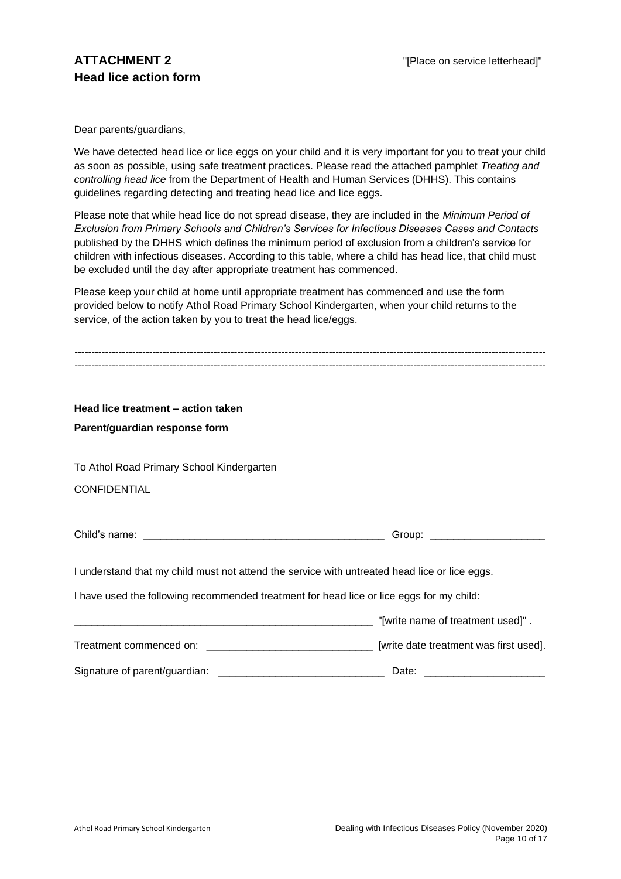Dear parents/guardians,

We have detected head lice or lice eggs on your child and it is very important for you to treat your child as soon as possible, using safe treatment practices. Please read the attached pamphlet *Treating and controlling head lice* from the Department of Health and Human Services (DHHS). This contains guidelines regarding detecting and treating head lice and lice eggs.

Please note that while head lice do not spread disease, they are included in the *Minimum Period of Exclusion from Primary Schools and Children's Services for Infectious Diseases Cases and Contacts* published by the DHHS which defines the minimum period of exclusion from a children's service for children with infectious diseases. According to this table, where a child has head lice, that child must be excluded until the day after appropriate treatment has commenced.

Please keep your child at home until appropriate treatment has commenced and use the form provided below to notify Athol Road Primary School Kindergarten, when your child returns to the service, of the action taken by you to treat the head lice/eggs.

| Head lice treatment - action taken                                                            |       |  |  |
|-----------------------------------------------------------------------------------------------|-------|--|--|
| Parent/guardian response form                                                                 |       |  |  |
| To Athol Road Primary School Kindergarten                                                     |       |  |  |
| <b>CONFIDENTIAL</b>                                                                           |       |  |  |
|                                                                                               |       |  |  |
| I understand that my child must not attend the service with untreated head lice or lice eggs. |       |  |  |
| I have used the following recommended treatment for head lice or lice eggs for my child:      |       |  |  |
| [write name of treatment used]".                                                              |       |  |  |
|                                                                                               |       |  |  |
| Signature of parent/guardian:                                                                 | Date: |  |  |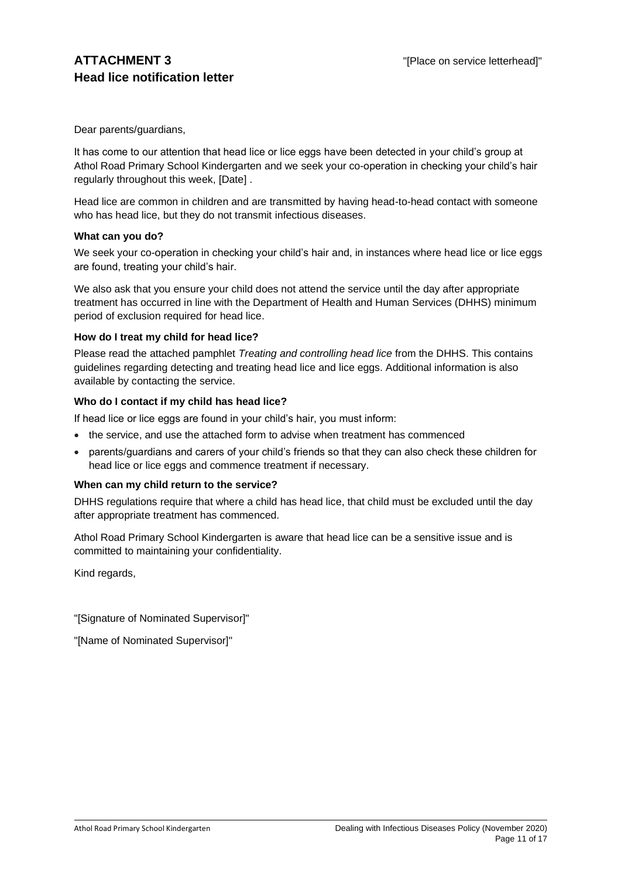Dear parents/guardians,

It has come to our attention that head lice or lice eggs have been detected in your child's group at Athol Road Primary School Kindergarten and we seek your co-operation in checking your child's hair regularly throughout this week, [Date] .

Head lice are common in children and are transmitted by having head-to-head contact with someone who has head lice, but they do not transmit infectious diseases.

#### **What can you do?**

We seek your co-operation in checking your child's hair and, in instances where head lice or lice eggs are found, treating your child's hair.

We also ask that you ensure your child does not attend the service until the day after appropriate treatment has occurred in line with the Department of Health and Human Services (DHHS) minimum period of exclusion required for head lice.

#### **How do I treat my child for head lice?**

Please read the attached pamphlet *Treating and controlling head lice* from the DHHS. This contains guidelines regarding detecting and treating head lice and lice eggs. Additional information is also available by contacting the service.

#### **Who do I contact if my child has head lice?**

If head lice or lice eggs are found in your child's hair, you must inform:

- the service, and use the attached form to advise when treatment has commenced
- parents/guardians and carers of your child's friends so that they can also check these children for head lice or lice eggs and commence treatment if necessary.

#### **When can my child return to the service?**

DHHS regulations require that where a child has head lice, that child must be excluded until the day after appropriate treatment has commenced.

Athol Road Primary School Kindergarten is aware that head lice can be a sensitive issue and is committed to maintaining your confidentiality.

Kind regards,

"[Signature of Nominated Supervisor]"

"[Name of Nominated Supervisor]"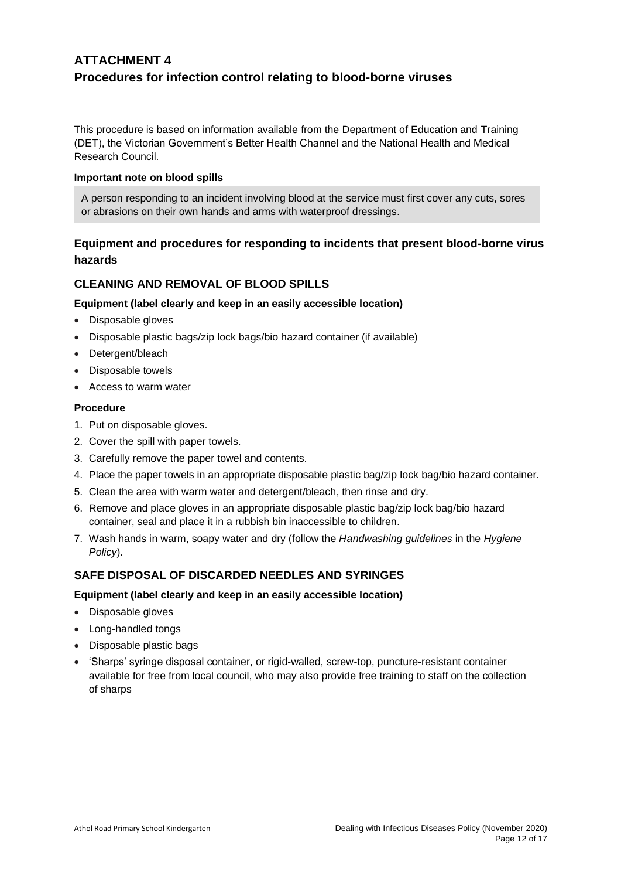# **ATTACHMENT 4 Procedures for infection control relating to blood-borne viruses**

This procedure is based on information available from the Department of Education and Training (DET), the Victorian Government's Better Health Channel and the National Health and Medical Research Council.

#### **Important note on blood spills**

A person responding to an incident involving blood at the service must first cover any cuts, sores or abrasions on their own hands and arms with waterproof dressings.

## **Equipment and procedures for responding to incidents that present blood-borne virus hazards**

### **CLEANING AND REMOVAL OF BLOOD SPILLS**

#### **Equipment (label clearly and keep in an easily accessible location)**

- Disposable gloves
- Disposable plastic bags/zip lock bags/bio hazard container (if available)
- Detergent/bleach
- Disposable towels
- Access to warm water

#### **Procedure**

- 1. Put on disposable gloves.
- 2. Cover the spill with paper towels.
- 3. Carefully remove the paper towel and contents.
- 4. Place the paper towels in an appropriate disposable plastic bag/zip lock bag/bio hazard container.
- 5. Clean the area with warm water and detergent/bleach, then rinse and dry.
- 6. Remove and place gloves in an appropriate disposable plastic bag/zip lock bag/bio hazard container, seal and place it in a rubbish bin inaccessible to children.
- 7. Wash hands in warm, soapy water and dry (follow the *Handwashing guidelines* in the *Hygiene Policy*).

### **SAFE DISPOSAL OF DISCARDED NEEDLES AND SYRINGES**

#### **Equipment (label clearly and keep in an easily accessible location)**

- Disposable gloves
- Long-handled tongs
- Disposable plastic bags
- 'Sharps' syringe disposal container, or rigid-walled, screw-top, puncture-resistant container available for free from local council, who may also provide free training to staff on the collection of sharps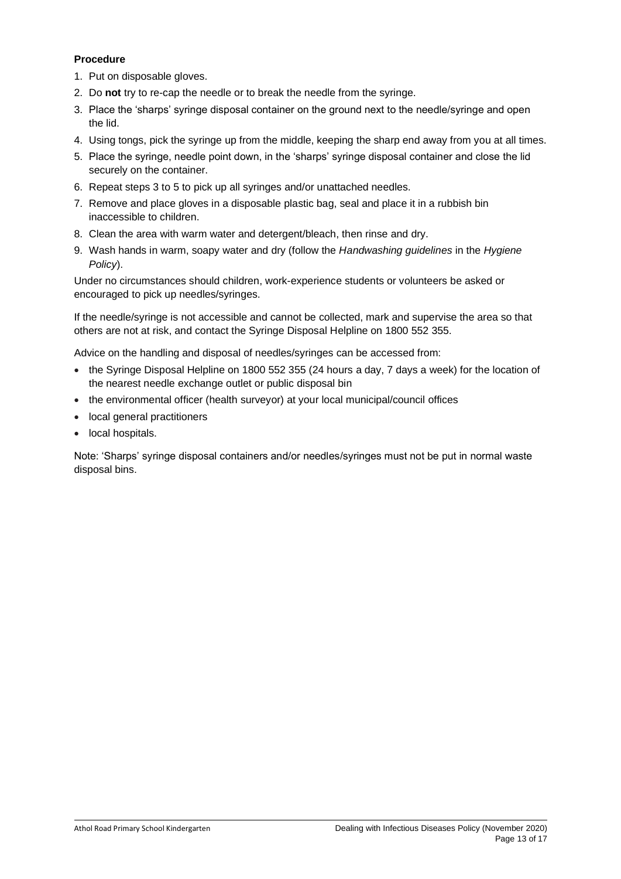#### **Procedure**

- 1. Put on disposable gloves.
- 2. Do **not** try to re-cap the needle or to break the needle from the syringe.
- 3. Place the 'sharps' syringe disposal container on the ground next to the needle/syringe and open the lid.
- 4. Using tongs, pick the syringe up from the middle, keeping the sharp end away from you at all times.
- 5. Place the syringe, needle point down, in the 'sharps' syringe disposal container and close the lid securely on the container.
- 6. Repeat steps 3 to 5 to pick up all syringes and/or unattached needles.
- 7. Remove and place gloves in a disposable plastic bag, seal and place it in a rubbish bin inaccessible to children.
- 8. Clean the area with warm water and detergent/bleach, then rinse and dry.
- 9. Wash hands in warm, soapy water and dry (follow the *Handwashing guidelines* in the *Hygiene Policy*).

Under no circumstances should children, work-experience students or volunteers be asked or encouraged to pick up needles/syringes.

If the needle/syringe is not accessible and cannot be collected, mark and supervise the area so that others are not at risk, and contact the Syringe Disposal Helpline on 1800 552 355.

Advice on the handling and disposal of needles/syringes can be accessed from:

- the Syringe Disposal Helpline on 1800 552 355 (24 hours a day, 7 days a week) for the location of the nearest needle exchange outlet or public disposal bin
- the environmental officer (health surveyor) at your local municipal/council offices
- local general practitioners
- local hospitals.

Note: 'Sharps' syringe disposal containers and/or needles/syringes must not be put in normal waste disposal bins.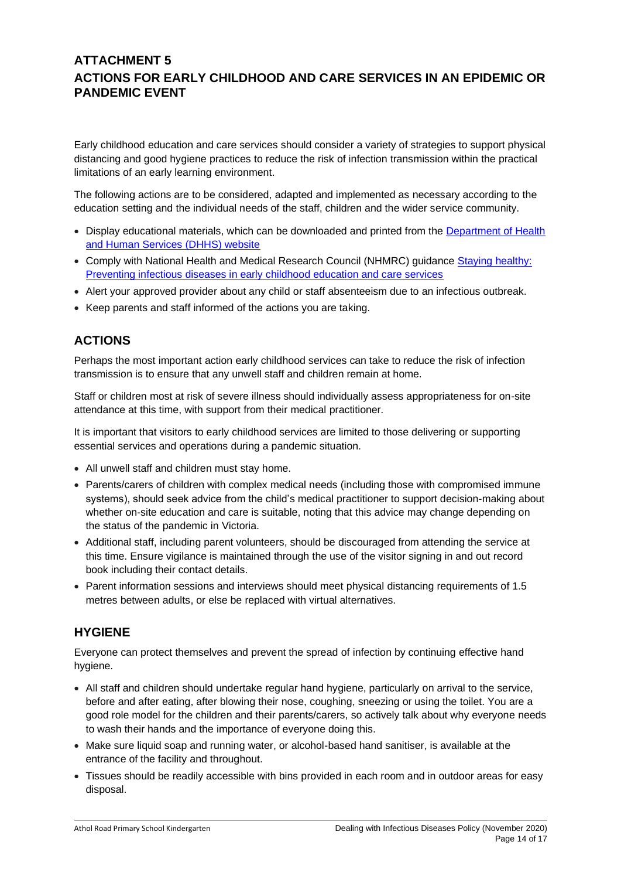## **ATTACHMENT 5 ACTIONS FOR EARLY CHILDHOOD AND CARE SERVICES IN AN EPIDEMIC OR PANDEMIC EVENT**

Early childhood education and care services should consider a variety of strategies to support physical distancing and good hygiene practices to reduce the risk of infection transmission within the practical limitations of an early learning environment.

The following actions are to be considered, adapted and implemented as necessary according to the education setting and the individual needs of the staff, children and the wider service community.

- Display educational materials, which can be downloaded and printed from the [Department of Health](http://www.dhhs.vic.gov.au/coronavirus)  [and Human Services \(DHHS\) website](http://www.dhhs.vic.gov.au/coronavirus)
- Comply with National Health and Medical Research Council (NHMRC) guidance [Staying healthy:](https://www.nhmrc.gov.au/about-us/publications/staying-healthy-preventing-infectious-diseases-early-childhood-education-and-care-services)  [Preventing infectious diseases in early childhood education and care services](https://www.nhmrc.gov.au/about-us/publications/staying-healthy-preventing-infectious-diseases-early-childhood-education-and-care-services)
- Alert your approved provider about any child or staff absenteeism due to an infectious outbreak.
- Keep parents and staff informed of the actions you are taking.

# **ACTIONS**

Perhaps the most important action early childhood services can take to reduce the risk of infection transmission is to ensure that any unwell staff and children remain at home.

Staff or children most at risk of severe illness should individually assess appropriateness for on-site attendance at this time, with support from their medical practitioner.

It is important that visitors to early childhood services are limited to those delivering or supporting essential services and operations during a pandemic situation.

- All unwell staff and children must stay home.
- Parents/carers of children with complex medical needs (including those with compromised immune systems), should seek advice from the child's medical practitioner to support decision-making about whether on-site education and care is suitable, noting that this advice may change depending on the status of the pandemic in Victoria.
- Additional staff, including parent volunteers, should be discouraged from attending the service at this time. Ensure vigilance is maintained through the use of the visitor signing in and out record book including their contact details.
- Parent information sessions and interviews should meet physical distancing requirements of 1.5 metres between adults, or else be replaced with virtual alternatives.

## **HYGIENE**

Everyone can protect themselves and prevent the spread of infection by continuing effective hand hygiene.

- All staff and children should undertake regular hand hygiene, particularly on arrival to the service, before and after eating, after blowing their nose, coughing, sneezing or using the toilet. You are a good role model for the children and their parents/carers, so actively talk about why everyone needs to wash their hands and the importance of everyone doing this.
- Make sure liquid soap and running water, or alcohol-based hand sanitiser, is available at the entrance of the facility and throughout.
- Tissues should be readily accessible with bins provided in each room and in outdoor areas for easy disposal.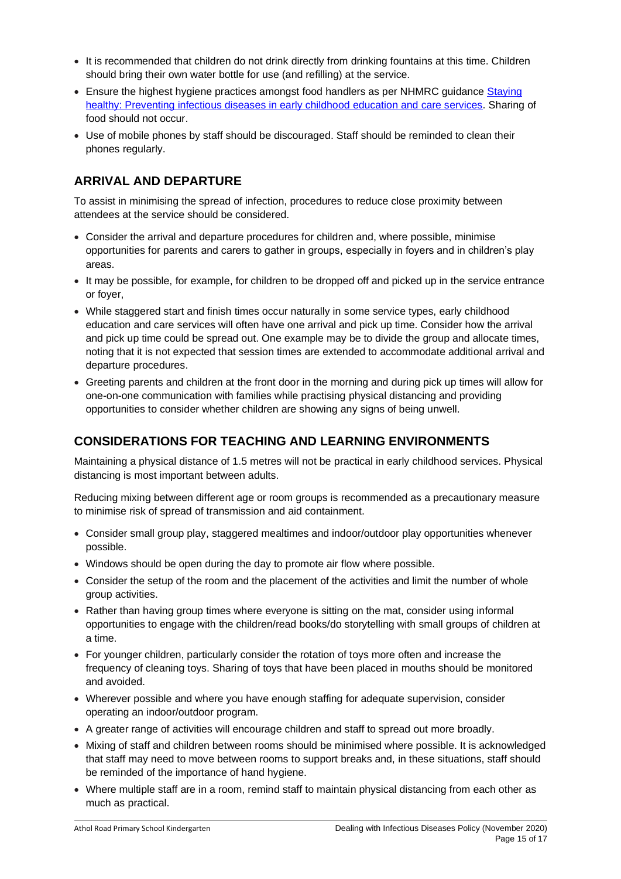- It is recommended that children do not drink directly from drinking fountains at this time. Children should bring their own water bottle for use (and refilling) at the service.
- Ensure the highest hygiene practices amongst food handlers as per NHMRC guidance Staying [healthy: Preventing infectious diseases in early childhood education and care services.](https://www.nhmrc.gov.au/about-us/publications/staying-healthy-preventing-infectious-diseases-early-childhood-education-and-care-services) Sharing of food should not occur.
- Use of mobile phones by staff should be discouraged. Staff should be reminded to clean their phones regularly.

# **ARRIVAL AND DEPARTURE**

To assist in minimising the spread of infection, procedures to reduce close proximity between attendees at the service should be considered.

- Consider the arrival and departure procedures for children and, where possible, minimise opportunities for parents and carers to gather in groups, especially in foyers and in children's play areas.
- It may be possible, for example, for children to be dropped off and picked up in the service entrance or foyer,
- While staggered start and finish times occur naturally in some service types, early childhood education and care services will often have one arrival and pick up time. Consider how the arrival and pick up time could be spread out. One example may be to divide the group and allocate times, noting that it is not expected that session times are extended to accommodate additional arrival and departure procedures.
- Greeting parents and children at the front door in the morning and during pick up times will allow for one-on-one communication with families while practising physical distancing and providing opportunities to consider whether children are showing any signs of being unwell.

## **CONSIDERATIONS FOR TEACHING AND LEARNING ENVIRONMENTS**

Maintaining a physical distance of 1.5 metres will not be practical in early childhood services. Physical distancing is most important between adults.

Reducing mixing between different age or room groups is recommended as a precautionary measure to minimise risk of spread of transmission and aid containment.

- Consider small group play, staggered mealtimes and indoor/outdoor play opportunities whenever possible.
- Windows should be open during the day to promote air flow where possible.
- Consider the setup of the room and the placement of the activities and limit the number of whole group activities.
- Rather than having group times where everyone is sitting on the mat, consider using informal opportunities to engage with the children/read books/do storytelling with small groups of children at a time.
- For younger children, particularly consider the rotation of toys more often and increase the frequency of cleaning toys. Sharing of toys that have been placed in mouths should be monitored and avoided.
- Wherever possible and where you have enough staffing for adequate supervision, consider operating an indoor/outdoor program.
- A greater range of activities will encourage children and staff to spread out more broadly.
- Mixing of staff and children between rooms should be minimised where possible. It is acknowledged that staff may need to move between rooms to support breaks and, in these situations, staff should be reminded of the importance of hand hygiene.
- Where multiple staff are in a room, remind staff to maintain physical distancing from each other as much as practical.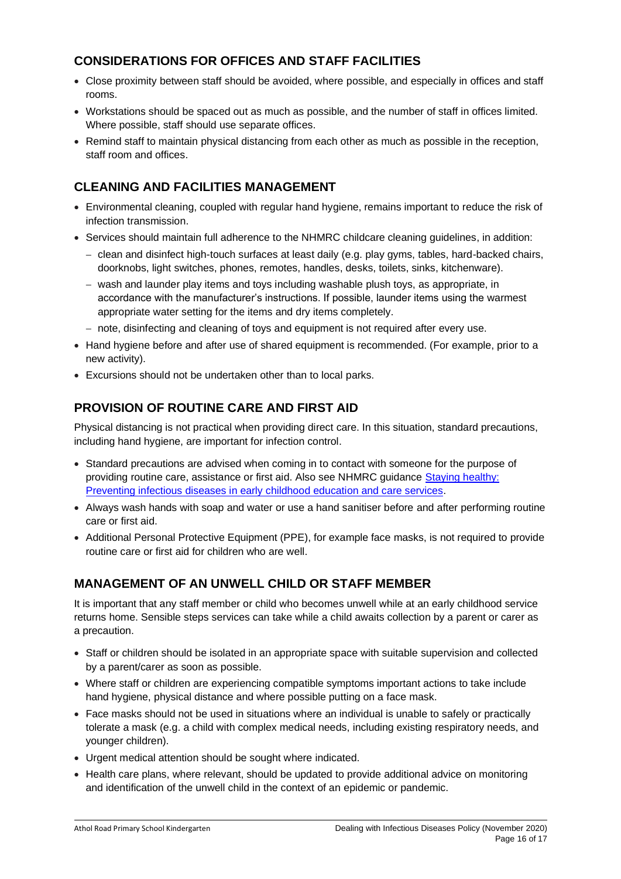# **CONSIDERATIONS FOR OFFICES AND STAFF FACILITIES**

- Close proximity between staff should be avoided, where possible, and especially in offices and staff rooms.
- Workstations should be spaced out as much as possible, and the number of staff in offices limited. Where possible, staff should use separate offices.
- Remind staff to maintain physical distancing from each other as much as possible in the reception, staff room and offices.

# **CLEANING AND FACILITIES MANAGEMENT**

- Environmental cleaning, coupled with regular hand hygiene, remains important to reduce the risk of infection transmission.
- Services should maintain full adherence to the NHMRC childcare cleaning guidelines, in addition:
	- − clean and disinfect high-touch surfaces at least daily (e.g. play gyms, tables, hard-backed chairs, doorknobs, light switches, phones, remotes, handles, desks, toilets, sinks, kitchenware).
	- − wash and launder play items and toys including washable plush toys, as appropriate, in accordance with the manufacturer's instructions. If possible, launder items using the warmest appropriate water setting for the items and dry items completely.
	- − note, disinfecting and cleaning of toys and equipment is not required after every use.
- Hand hygiene before and after use of shared equipment is recommended. (For example, prior to a new activity).
- Excursions should not be undertaken other than to local parks.

# **PROVISION OF ROUTINE CARE AND FIRST AID**

Physical distancing is not practical when providing direct care. In this situation, standard precautions, including hand hygiene, are important for infection control.

- Standard precautions are advised when coming in to contact with someone for the purpose of providing routine care, assistance or first aid. Also see NHMRC guidance [Staying healthy:](https://www.nhmrc.gov.au/about-us/publications/staying-healthy-preventing-infectious-diseases-early-childhood-education-and-care-services)  [Preventing infectious diseases in early childhood education and care services.](https://www.nhmrc.gov.au/about-us/publications/staying-healthy-preventing-infectious-diseases-early-childhood-education-and-care-services)
- Always wash hands with soap and water or use a hand sanitiser before and after performing routine care or first aid.
- Additional Personal Protective Equipment (PPE), for example face masks, is not required to provide routine care or first aid for children who are well.

# **MANAGEMENT OF AN UNWELL CHILD OR STAFF MEMBER**

It is important that any staff member or child who becomes unwell while at an early childhood service returns home. Sensible steps services can take while a child awaits collection by a parent or carer as a precaution.

- Staff or children should be isolated in an appropriate space with suitable supervision and collected by a parent/carer as soon as possible.
- Where staff or children are experiencing compatible symptoms important actions to take include hand hygiene, physical distance and where possible putting on a face mask.
- Face masks should not be used in situations where an individual is unable to safely or practically tolerate a mask (e.g. a child with complex medical needs, including existing respiratory needs, and younger children).
- Urgent medical attention should be sought where indicated.
- Health care plans, where relevant, should be updated to provide additional advice on monitoring and identification of the unwell child in the context of an epidemic or pandemic.